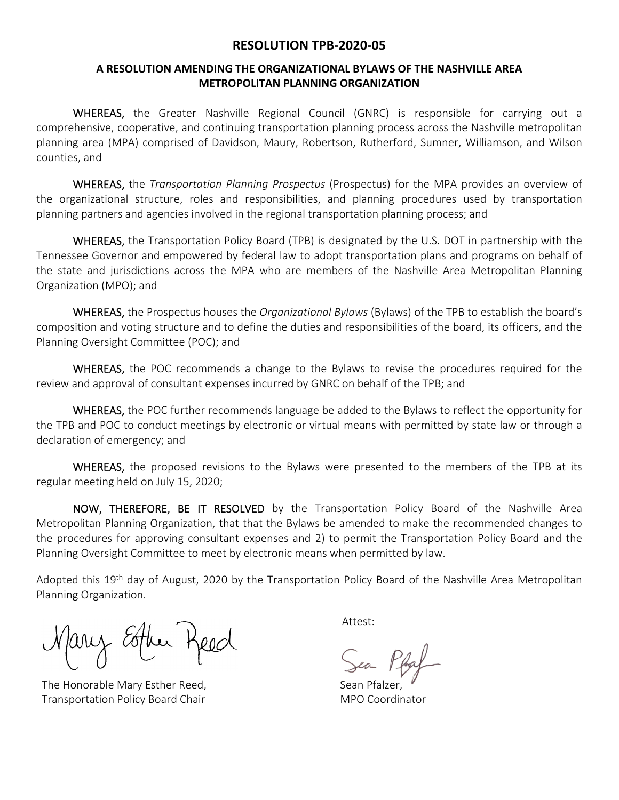## **RESOLUTION TPB‐2020‐05**

# **A RESOLUTION AMENDING THE ORGANIZATIONAL BYLAWS OF THE NASHVILLE AREA METROPOLITAN PLANNING ORGANIZATION**

WHEREAS, the Greater Nashville Regional Council (GNRC) is responsible for carrying out a comprehensive, cooperative, and continuing transportation planning process across the Nashville metropolitan planning area (MPA) comprised of Davidson, Maury, Robertson, Rutherford, Sumner, Williamson, and Wilson counties, and

 WHEREAS, the *Transportation Planning Prospectus* (Prospectus) for the MPA provides an overview of the organizational structure, roles and responsibilities, and planning procedures used by transportation planning partners and agencies involved in the regional transportation planning process; and

WHEREAS, the Transportation Policy Board (TPB) is designated by the U.S. DOT in partnership with the Tennessee Governor and empowered by federal law to adopt transportation plans and programs on behalf of the state and jurisdictions across the MPA who are members of the Nashville Area Metropolitan Planning Organization (MPO); and

 WHEREAS, the Prospectus houses the *Organizational Bylaws* (Bylaws) of the TPB to establish the board's composition and voting structure and to define the duties and responsibilities of the board, its officers, and the Planning Oversight Committee (POC); and

WHEREAS, the POC recommends a change to the Bylaws to revise the procedures required for the review and approval of consultant expenses incurred by GNRC on behalf of the TPB; and

WHEREAS, the POC further recommends language be added to the Bylaws to reflect the opportunity for the TPB and POC to conduct meetings by electronic or virtual means with permitted by state law or through a declaration of emergency; and

WHEREAS, the proposed revisions to the Bylaws were presented to the members of the TPB at its regular meeting held on July 15, 2020;

NOW, THEREFORE, BE IT RESOLVED by the Transportation Policy Board of the Nashville Area Metropolitan Planning Organization, that that the Bylaws be amended to make the recommended changes to the procedures for approving consultant expenses and 2) to permit the Transportation Policy Board and the Planning Oversight Committee to meet by electronic means when permitted by law.

Adopted this 19<sup>th</sup> day of August, 2020 by the Transportation Policy Board of the Nashville Area Metropolitan Planning Organization.

 Attest: ary cother t

The Honorable Mary Esther Reed, Transportation Policy Board Chair

 Sean Pfalzer, MPO Coordinator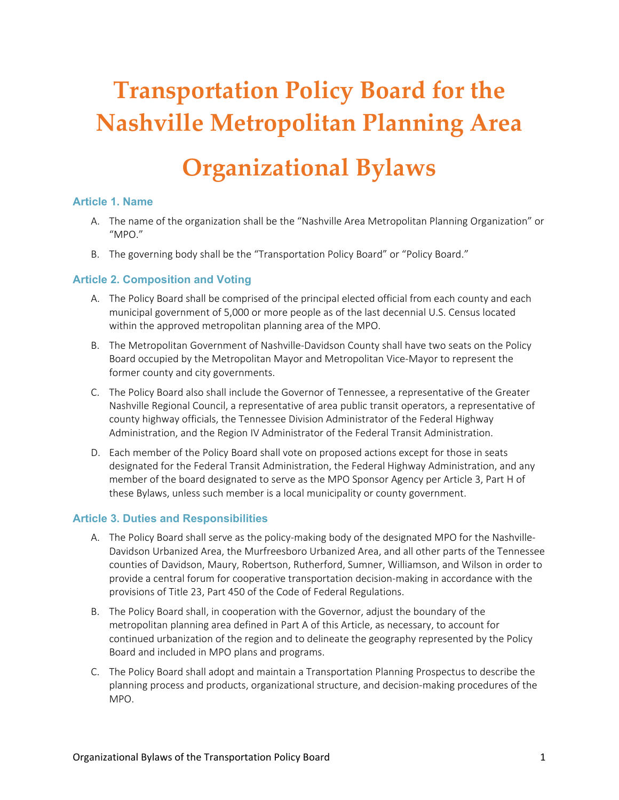# **Transportation Policy Board for the Nashville Metropolitan Planning Area**

# **Organizational Bylaws**

#### **Article 1. Name**

- A. The name of the organization shall be the "Nashville Area Metropolitan Planning Organization" or "MPO."
- B. The governing body shall be the "Transportation Policy Board" or "Policy Board."

#### **Article 2. Composition and Voting**

- A. The Policy Board shall be comprised of the principal elected official from each county and each municipal government of 5,000 or more people as of the last decennial U.S. Census located within the approved metropolitan planning area of the MPO.
- B. The Metropolitan Government of Nashville‐Davidson County shall have two seats on the Policy Board occupied by the Metropolitan Mayor and Metropolitan Vice‐Mayor to represent the former county and city governments.
- C. The Policy Board also shall include the Governor of Tennessee, a representative of the Greater Nashville Regional Council, a representative of area public transit operators, a representative of county highway officials, the Tennessee Division Administrator of the Federal Highway Administration, and the Region IV Administrator of the Federal Transit Administration.
- D. Each member of the Policy Board shall vote on proposed actions except for those in seats designated for the Federal Transit Administration, the Federal Highway Administration, and any member of the board designated to serve as the MPO Sponsor Agency per Article 3, Part H of these Bylaws, unless such member is a local municipality or county government.

#### **Article 3. Duties and Responsibilities**

- A. The Policy Board shall serve as the policy-making body of the designated MPO for the Nashville-Davidson Urbanized Area, the Murfreesboro Urbanized Area, and all other parts of the Tennessee counties of Davidson, Maury, Robertson, Rutherford, Sumner, Williamson, and Wilson in order to provide a central forum for cooperative transportation decision‐making in accordance with the provisions of Title 23, Part 450 of the Code of Federal Regulations.
- B. The Policy Board shall, in cooperation with the Governor, adjust the boundary of the metropolitan planning area defined in Part A of this Article, as necessary, to account for continued urbanization of the region and to delineate the geography represented by the Policy Board and included in MPO plans and programs.
- C. The Policy Board shall adopt and maintain a Transportation Planning Prospectus to describe the planning process and products, organizational structure, and decision‐making procedures of the MPO.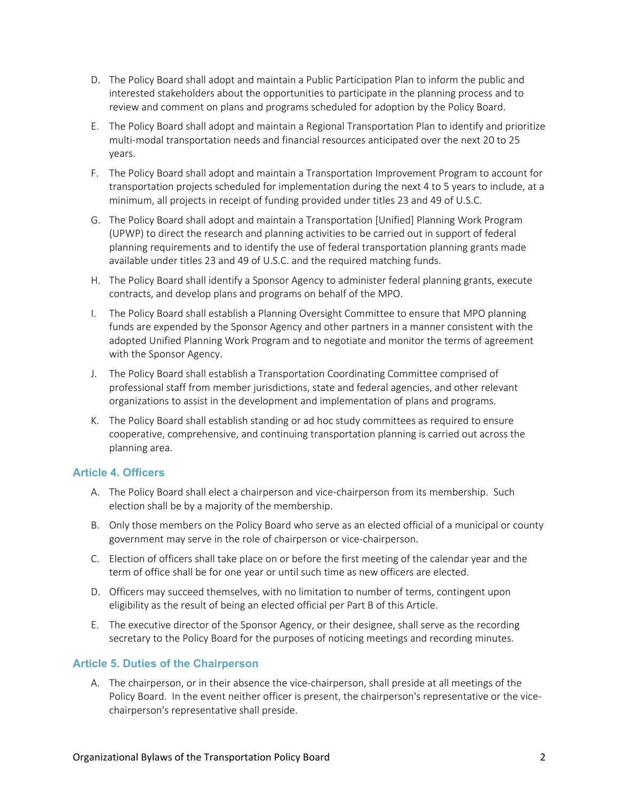- D. The Policy Board shall adopt and maintain a Public Participation Plan to inform the public and interested stakeholders about the opportunities to participate in the planning process and to review and comment on plans and programs scheduled for adoption by the Policy Board.
- E. The Policy Board shall adopt and maintain a Regional Transportation Plan to identify and prioritize multi-modal transportation needs and financial resources anticipated over the next 20 to 25 years.
- F. The Policy Board shall adopt and maintain a Transportation Improvement Program to account for transportation projects scheduled for implementation during the next 4 to 5 years to include, at a minimum, all projects in receipt of funding provided under titles 23 and 49 of U.S.C.
- G. The Policy Board shall adopt and maintain a Transportation [Unified] Planning Work Program (UPWP) to direct the research and planning activities to be carried out in support of federal planning requirements and to identify the use of federal transportation planning grants made available under titles 23 and 49 of U.S.C. and the required matching funds.
- H. The Policy Board shall identify a Sponsor Agency to administer federal planning grants, execute contracts, and develop plans and programs on behalf of the MPO.
- I. The Policy Board shall establish a Planning Oversight Committee to ensure that MPO planning funds are expended by the Sponsor Agency and other partners in a manner consistent with the adopted Unified Planning Work Program and to negotiate and monitor the terms of agreement with the Sponsor Agency.
- J. The Policy Board shall establish a Transportation Coordinating Committee comprised of professional staff from member jurisdictions, state and federal agencies, and other relevant organizations to assist in the development and implementation of plans and programs.
- K. The Policy Board shall establish standing or ad hoc study committees as required to ensure cooperative, comprehensive, and continuing transportation planning is carried out across the planning area.

### **Article 4. Officers**

- A. The Policy Board shall elect a chairperson and vice-chairperson from its membership. Such election shall be by a majority of the membership.
- B. Only those members on the Policy Board who serve as an elected official of a municipal or county government may serve in the role of chairperson or vice‐chairperson.
- C. Election of officers shall take place on or before the first meeting of the calendar year and the term of office shall be for one year or until such time as new officers are elected.
- D. Officers may succeed themselves, with no limitation to number of terms, contingent upon eligibility as the result of being an elected official per Part B of this Article.
- E. The executive director of the Sponsor Agency, or their designee, shall serve as the recording secretary to the Policy Board for the purposes of noticing meetings and recording minutes.

### **Article 5. Duties of the Chairperson**

A. The chairperson, or in their absence the vice‐chairperson, shall preside at all meetings of the Policy Board. In the event neither officer is present, the chairperson's representative or the vice‐ chairperson's representative shall preside.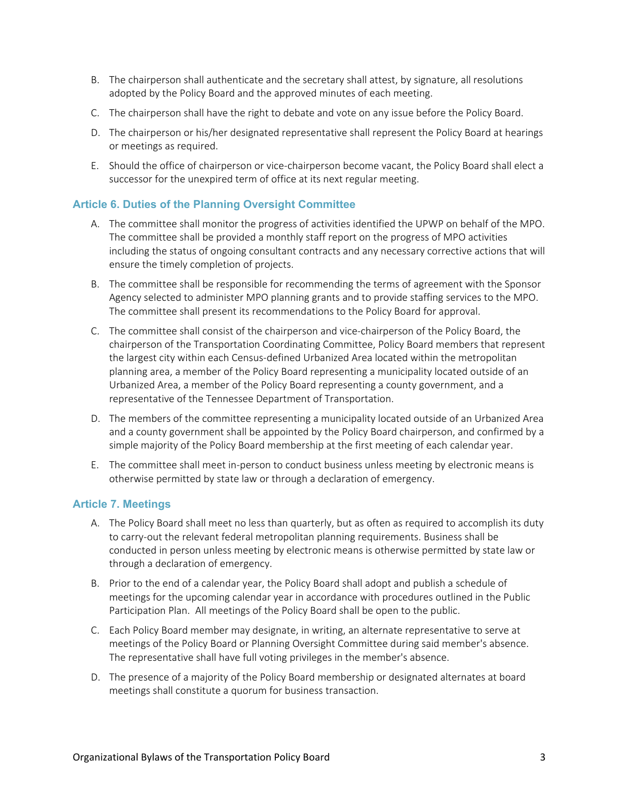- B. The chairperson shall authenticate and the secretary shall attest, by signature, all resolutions adopted by the Policy Board and the approved minutes of each meeting.
- C. The chairperson shall have the right to debate and vote on any issue before the Policy Board.
- D. The chairperson or his/her designated representative shall represent the Policy Board at hearings or meetings as required.
- E. Should the office of chairperson or vice‐chairperson become vacant, the Policy Board shall elect a successor for the unexpired term of office at its next regular meeting.

### **Article 6. Duties of the Planning Oversight Committee**

- A. The committee shall monitor the progress of activities identified the UPWP on behalf of the MPO. The committee shall be provided a monthly staff report on the progress of MPO activities including the status of ongoing consultant contracts and any necessary corrective actions that will ensure the timely completion of projects.
- B. The committee shall be responsible for recommending the terms of agreement with the Sponsor Agency selected to administer MPO planning grants and to provide staffing services to the MPO. The committee shall present its recommendations to the Policy Board for approval.
- C. The committee shall consist of the chairperson and vice‐chairperson of the Policy Board, the chairperson of the Transportation Coordinating Committee, Policy Board members that represent the largest city within each Census‐defined Urbanized Area located within the metropolitan planning area, a member of the Policy Board representing a municipality located outside of an Urbanized Area, a member of the Policy Board representing a county government, and a representative of the Tennessee Department of Transportation.
- D. The members of the committee representing a municipality located outside of an Urbanized Area and a county government shall be appointed by the Policy Board chairperson, and confirmed by a simple majority of the Policy Board membership at the first meeting of each calendar year.
- E. The committee shall meet in‐person to conduct business unless meeting by electronic means is otherwise permitted by state law or through a declaration of emergency.

#### **Article 7. Meetings**

- A. The Policy Board shall meet no less than quarterly, but as often as required to accomplish its duty to carry‐out the relevant federal metropolitan planning requirements. Business shall be conducted in person unless meeting by electronic means is otherwise permitted by state law or through a declaration of emergency.
- B. Prior to the end of a calendar year, the Policy Board shall adopt and publish a schedule of meetings for the upcoming calendar year in accordance with procedures outlined in the Public Participation Plan. All meetings of the Policy Board shall be open to the public.
- C. Each Policy Board member may designate, in writing, an alternate representative to serve at meetings of the Policy Board or Planning Oversight Committee during said member's absence. The representative shall have full voting privileges in the member's absence.
- D. The presence of a majority of the Policy Board membership or designated alternates at board meetings shall constitute a quorum for business transaction.